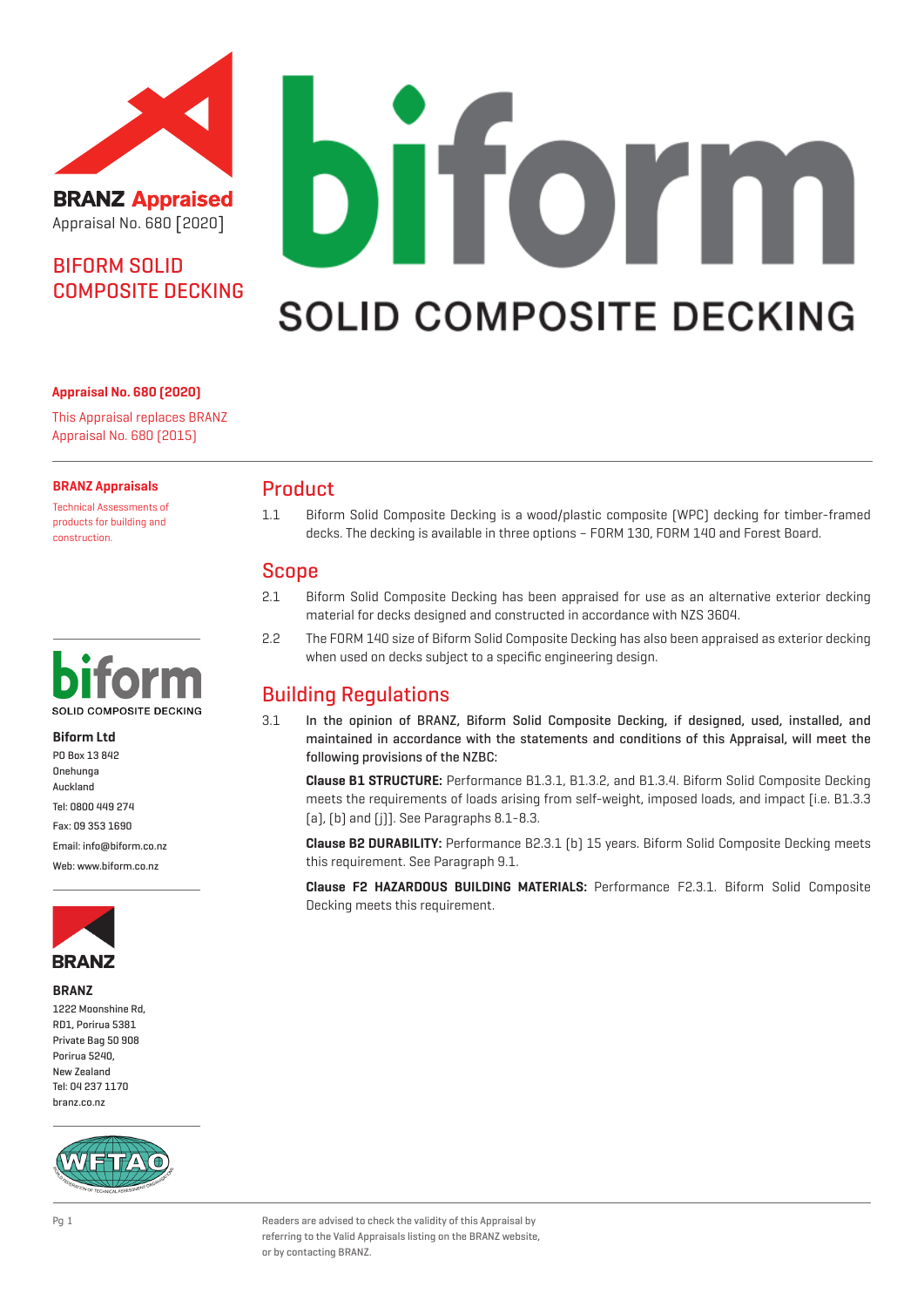

**BRANZ Appraised** Appraisal No. 680 [2020]

# BIFORM SOLID COMPOSITE DECKING

#### **Appraisal No. 680 (2020)**

This Appraisal replaces BRANZ Appraisal No. 680 (2015)

#### **BRANZ Appraisals**

Technical Assessments of products for building and construction.



#### **Biform Ltd**

PO Box 13 842 Onehunga Auckland Tel: 0800 449 274

Fax: 09 353 1690

Email: info@biform.co.nz Web: www.biform.co.nz



#### **BRANZ**

1222 Moonshine Rd, RD1, Porirua 5381 Private Bag 50 908 Porirua 5240, New Zealand Tel: 04 237 1170 branz.co.nz



# **TOMM** D **SOLID COMPOSITE DECKING**

## Product

1.1 Biform Solid Composite Decking is a wood/plastic composite (WPC) decking for timber-framed decks. The decking is available in three options – FORM 130, FORM 140 and Forest Board.

## Scope

- 2.1 Biform Solid Composite Decking has been appraised for use as an alternative exterior decking material for decks designed and constructed in accordance with NZS 3604.
- 2.2 The FORM 140 size of Biform Solid Composite Decking has also been appraised as exterior decking when used on decks subject to a specific engineering design.

# Building Regulations

3.1 In the opinion of BRANZ, Biform Solid Composite Decking, if designed, used, installed, and maintained in accordance with the statements and conditions of this Appraisal, will meet the following provisions of the NZBC:

**Clause B1 STRUCTURE:** Performance B1.3.1, B1.3.2, and B1.3.4. Biform Solid Composite Decking meets the requirements of loads arising from self-weight, imposed loads, and impact [i.e. B1.3.3 (a), (b) and (j)]. See Paragraphs 8.1-8.3.

**Clause B2 DURABILITY:** Performance B2.3.1 (b) 15 years. Biform Solid Composite Decking meets this requirement. See Paragraph 9.1.

**Clause F2 HAZARDOUS BUILDING MATERIALS:** Performance F2.3.1. Biform Solid Composite Decking meets this requirement.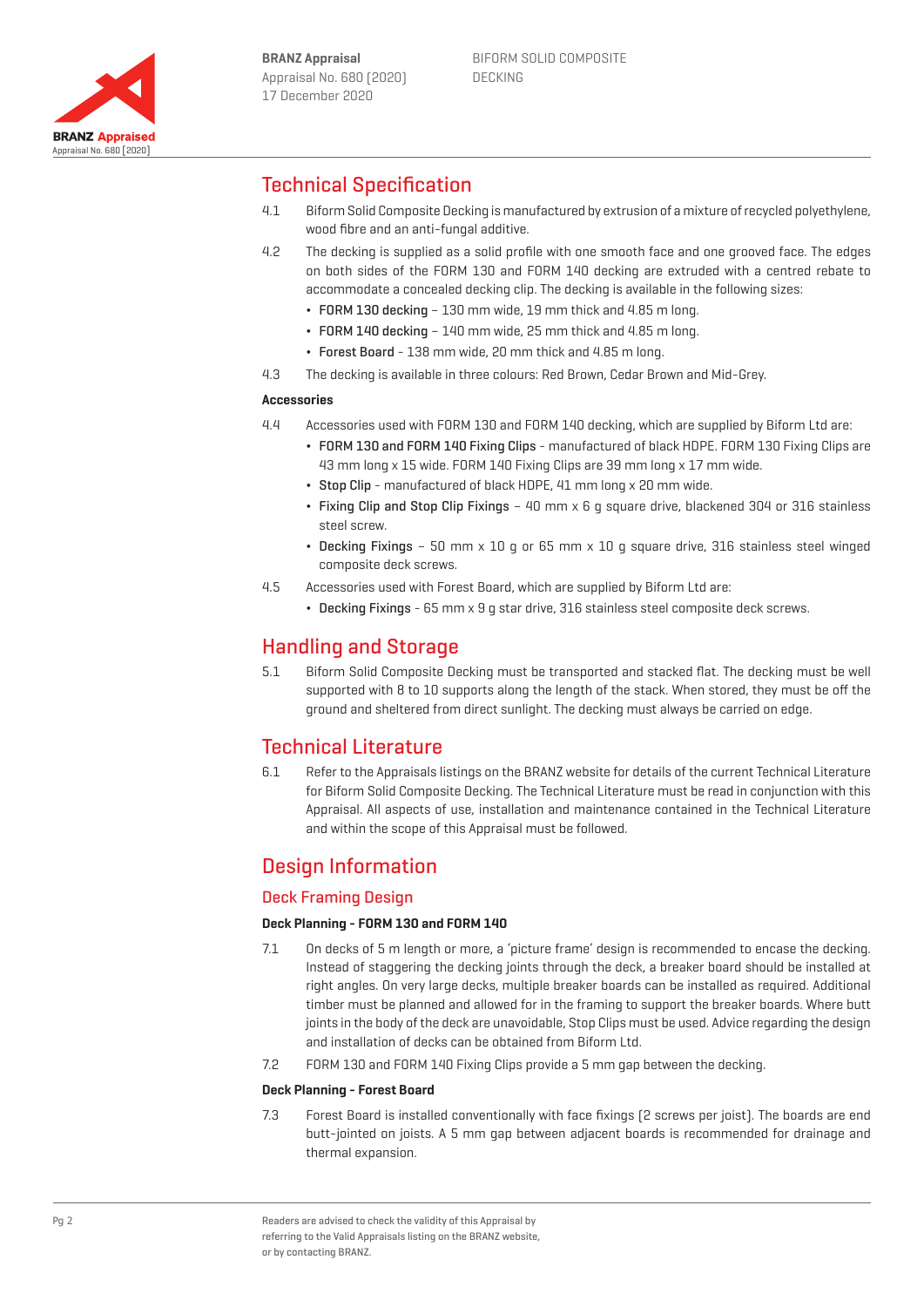

## Technical Specification

- 4.1 Biform Solid Composite Decking is manufactured by extrusion of a mixture of recycled polyethylene, wood fibre and an anti-fungal additive.
- 4.2 The decking is supplied as a solid profile with one smooth face and one grooved face. The edges on both sides of the FORM 130 and FORM 140 decking are extruded with a centred rebate to accommodate a concealed decking clip. The decking is available in the following sizes:
	- FORM 130 decking 130 mm wide, 19 mm thick and 4.85 m long.
	- FORM 140 decking 140 mm wide, 25 mm thick and 4.85 m long.
	- ¬ Forest Board 138 mm wide, 20 mm thick and 4.85 m long.
- 4.3 The decking is available in three colours: Red Brown, Cedar Brown and Mid-Grey.

#### **Accessories**

- 4.4 Accessories used with FORM 130 and FORM 140 decking, which are supplied by Biform Ltd are:
	- ¬ FORM 130 and FORM 140 Fixing Clips manufactured of black HDPE. FORM 130 Fixing Clips are 43 mm long x 15 wide. FORM 140 Fixing Clips are 39 mm long x 17 mm wide.
	- ¬ Stop Clip manufactured of black HDPE, 41 mm long x 20 mm wide.
	- ¬ Fixing Clip and Stop Clip Fixings 40 mm x 6 g square drive, blackened 304 or 316 stainless steel screw.
	- ¬ Decking Fixings 50 mm x 10 g or 65 mm x 10 g square drive, 316 stainless steel winged composite deck screws.
- 4.5 Accessories used with Forest Board, which are supplied by Biform Ltd are:
	- ¬ Decking Fixings 65 mm x 9 g star drive, 316 stainless steel composite deck screws.

## Handling and Storage

5.1 Biform Solid Composite Decking must be transported and stacked flat. The decking must be well supported with 8 to 10 supports along the length of the stack. When stored, they must be off the ground and sheltered from direct sunlight. The decking must always be carried on edge.

## Technical Literature

6.1 Refer to the Appraisals listings on the BRANZ website for details of the current Technical Literature for Biform Solid Composite Decking. The Technical Literature must be read in conjunction with this Appraisal. All aspects of use, installation and maintenance contained in the Technical Literature and within the scope of this Appraisal must be followed.

## Design Information

### Deck Framing Design

#### **Deck Planning - FORM 130 and FORM 140**

- 7.1 On decks of 5 m length or more, a 'picture frame' design is recommended to encase the decking. Instead of staggering the decking joints through the deck, a breaker board should be installed at right angles. On very large decks, multiple breaker boards can be installed as required. Additional timber must be planned and allowed for in the framing to support the breaker boards. Where butt joints in the body of the deck are unavoidable, Stop Clips must be used. Advice regarding the design and installation of decks can be obtained from Biform Ltd.
- 7.2 FORM 130 and FORM 140 Fixing Clips provide a 5 mm gap between the decking.

#### **Deck Planning - Forest Board**

7.3 Forest Board is installed conventionally with face fixings (2 screws per joist). The boards are end butt-jointed on joists. A 5 mm gap between adjacent boards is recommended for drainage and thermal expansion.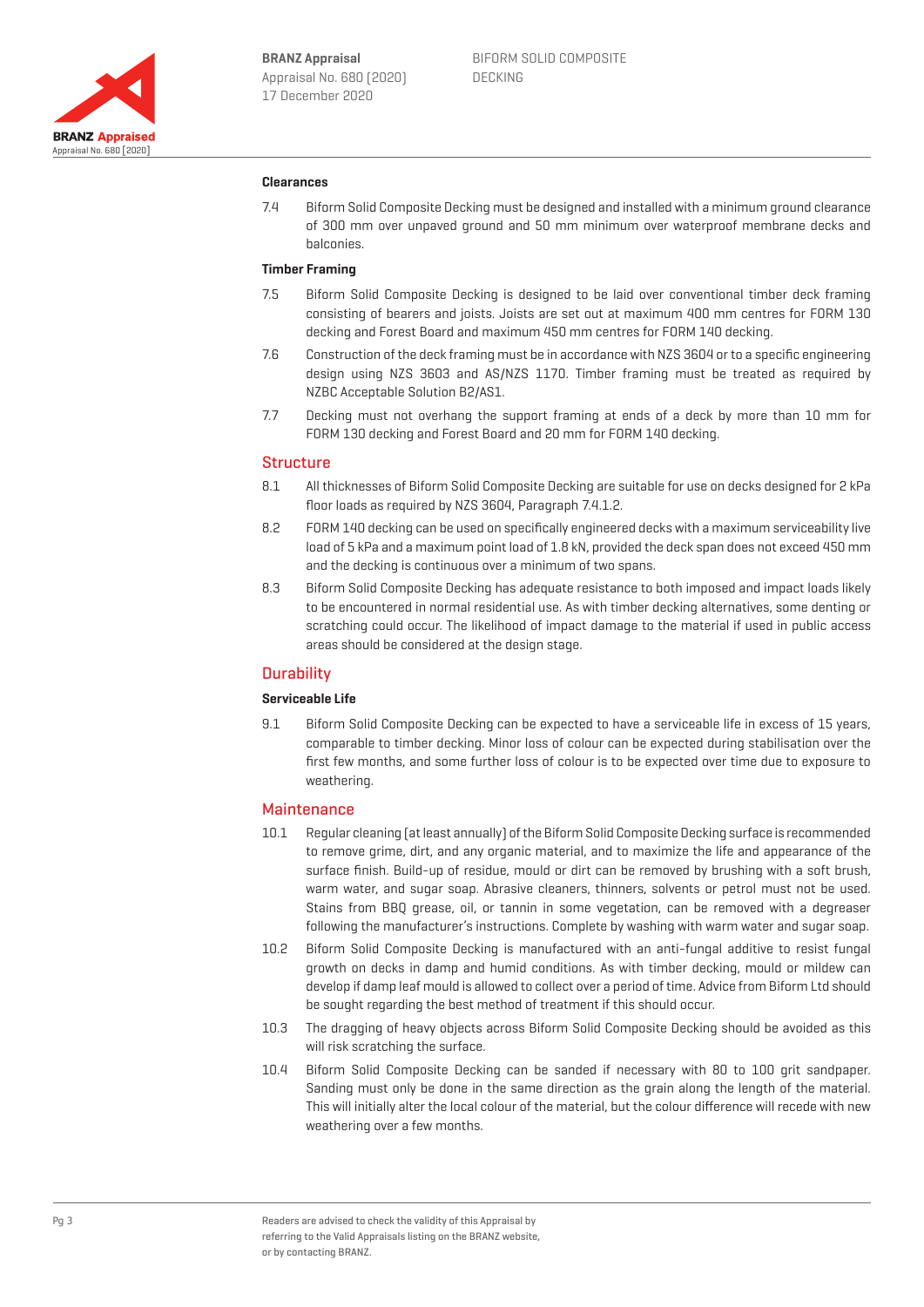

#### **Clearances**

7.4 Biform Solid Composite Decking must be designed and installed with a minimum ground clearance of 300 mm over unpaved ground and 50 mm minimum over waterproof membrane decks and balconies.

#### **Timber Framing**

- 7.5 Biform Solid Composite Decking is designed to be laid over conventional timber deck framing consisting of bearers and joists. Joists are set out at maximum 400 mm centres for FORM 130 decking and Forest Board and maximum 450 mm centres for FORM 140 decking.
- 7.6 Construction of the deck framing must be in accordance with NZS 3604 or to a specific engineering design using NZS 3603 and AS/NZS 1170. Timber framing must be treated as required by NZBC Acceptable Solution B2/AS1.
- 7.7 Decking must not overhang the support framing at ends of a deck by more than 10 mm for FORM 130 decking and Forest Board and 20 mm for FORM 140 decking.

#### **Structure**

- 8.1 All thicknesses of Biform Solid Composite Decking are suitable for use on decks designed for 2 kPa floor loads as required by NZS 3604, Paragraph 7.4.1.2.
- 8.2 FORM 140 decking can be used on specifically engineered decks with a maximum serviceability live load of 5 kPa and a maximum point load of 1.8 kN, provided the deck span does not exceed 450 mm and the decking is continuous over a minimum of two spans.
- 8.3 Biform Solid Composite Decking has adequate resistance to both imposed and impact loads likely to be encountered in normal residential use. As with timber decking alternatives, some denting or scratching could occur. The likelihood of impact damage to the material if used in public access areas should be considered at the design stage.

#### **Durability**

#### **Serviceable Life**

9.1 Biform Solid Composite Decking can be expected to have a serviceable life in excess of 15 years, comparable to timber decking. Minor loss of colour can be expected during stabilisation over the first few months, and some further loss of colour is to be expected over time due to exposure to weathering.

#### **Maintenance**

- 10.1 Regular cleaning (at least annually) of the Biform Solid Composite Decking surface is recommended to remove grime, dirt, and any organic material, and to maximize the life and appearance of the surface finish. Build-up of residue, mould or dirt can be removed by brushing with a soft brush, warm water, and sugar soap. Abrasive cleaners, thinners, solvents or petrol must not be used. Stains from BBQ grease, oil, or tannin in some vegetation, can be removed with a degreaser following the manufacturer's instructions. Complete by washing with warm water and sugar soap.
- 10.2 Biform Solid Composite Decking is manufactured with an anti-fungal additive to resist fungal growth on decks in damp and humid conditions. As with timber decking, mould or mildew can develop if damp leaf mould is allowed to collect over a period of time. Advice from Biform Ltd should be sought regarding the best method of treatment if this should occur.
- 10.3 The dragging of heavy objects across Biform Solid Composite Decking should be avoided as this will risk scratching the surface.
- 10.4 Biform Solid Composite Decking can be sanded if necessary with 80 to 100 grit sandpaper. Sanding must only be done in the same direction as the grain along the length of the material. This will initially alter the local colour of the material, but the colour difference will recede with new weathering over a few months.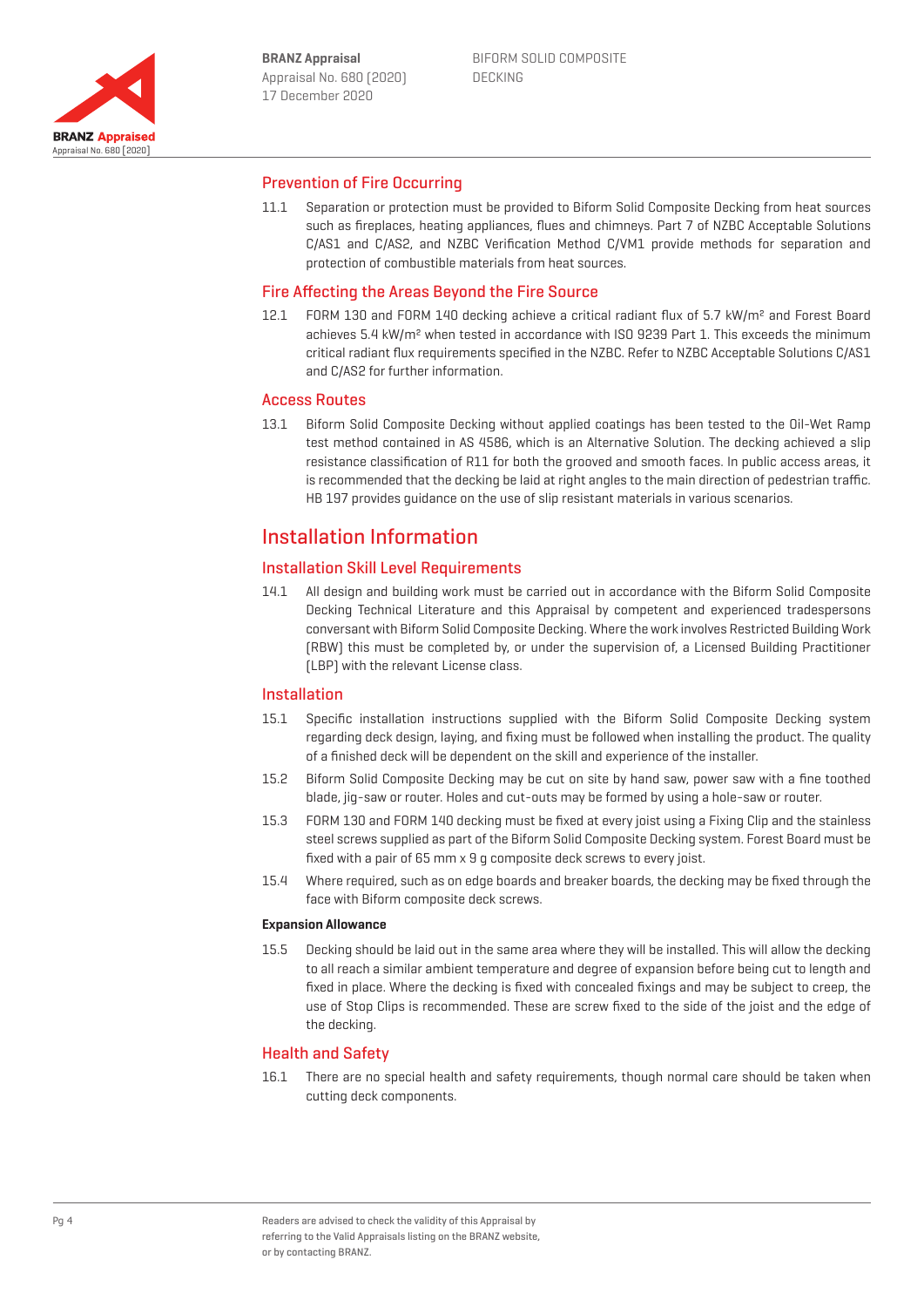

#### Prevention of Fire Occurring

11.1 Separation or protection must be provided to Biform Solid Composite Decking from heat sources such as fireplaces, heating appliances, flues and chimneys. Part 7 of NZBC Acceptable Solutions C/AS1 and C/AS2, and NZBC Verification Method C/VM1 provide methods for separation and protection of combustible materials from heat sources.

#### Fire Affecting the Areas Beyond the Fire Source

12.1 FORM 130 and FORM 140 decking achieve a critical radiant flux of 5.7 kW/m<sup>2</sup> and Forest Board achieves 5.4 kW/m² when tested in accordance with ISO 9239 Part 1. This exceeds the minimum critical radiant flux requirements specified in the NZBC. Refer to NZBC Acceptable Solutions C/AS1 and C/AS2 for further information.

#### Access Routes

13.1 Biform Solid Composite Decking without applied coatings has been tested to the Oil-Wet Ramp test method contained in AS 4586, which is an Alternative Solution. The decking achieved a slip resistance classification of R11 for both the grooved and smooth faces. In public access areas, it is recommended that the decking be laid at right angles to the main direction of pedestrian traffic. HB 197 provides guidance on the use of slip resistant materials in various scenarios.

## Installation Information

#### Installation Skill Level Requirements

14.1 All design and building work must be carried out in accordance with the Biform Solid Composite Decking Technical Literature and this Appraisal by competent and experienced tradespersons conversant with Biform Solid Composite Decking. Where the work involves Restricted Building Work (RBW) this must be completed by, or under the supervision of, a Licensed Building Practitioner (LBP) with the relevant License class.

#### Installation

- 15.1 Specific installation instructions supplied with the Biform Solid Composite Decking system regarding deck design, laying, and fixing must be followed when installing the product. The quality of a finished deck will be dependent on the skill and experience of the installer.
- 15.2 Biform Solid Composite Decking may be cut on site by hand saw, power saw with a fine toothed blade, jig-saw or router. Holes and cut-outs may be formed by using a hole-saw or router.
- 15.3 FORM 130 and FORM 140 decking must be fixed at every joist using a Fixing Clip and the stainless steel screws supplied as part of the Biform Solid Composite Decking system. Forest Board must be fixed with a pair of 65 mm x 9 g composite deck screws to every joist.
- 15.4 Where required, such as on edge boards and breaker boards, the decking may be fixed through the face with Biform composite deck screws.

#### **Expansion Allowance**

15.5 Decking should be laid out in the same area where they will be installed. This will allow the decking to all reach a similar ambient temperature and degree of expansion before being cut to length and fixed in place. Where the decking is fixed with concealed fixings and may be subject to creep, the use of Stop Clips is recommended. These are screw fixed to the side of the joist and the edge of the decking.

#### Health and Safety

16.1 There are no special health and safety requirements, though normal care should be taken when cutting deck components.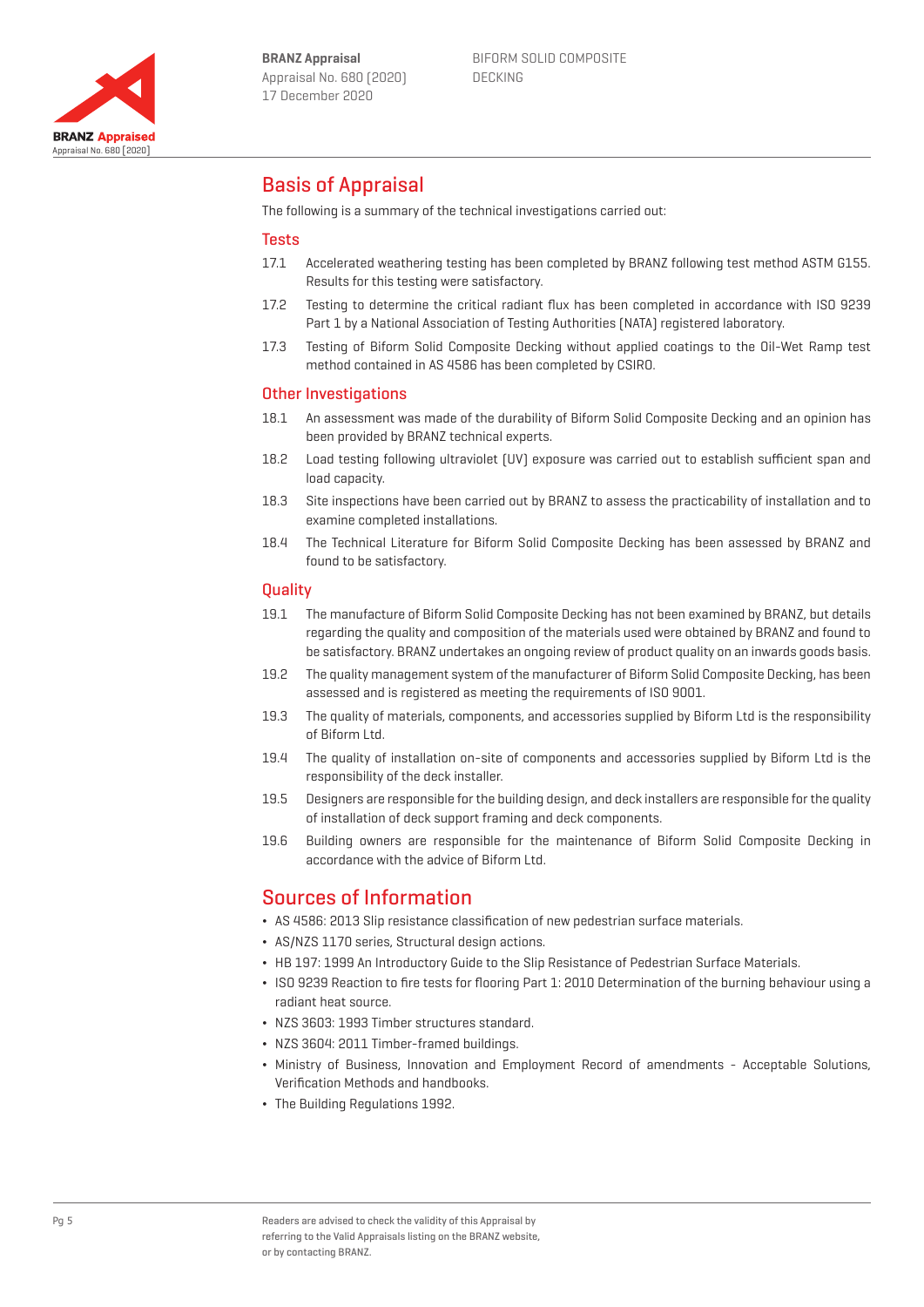

BIFORM SOLID COMPOSITE DECKING

## Basis of Appraisal

The following is a summary of the technical investigations carried out:

#### **Tests**

- 17.1 Accelerated weathering testing has been completed by BRANZ following test method ASTM G155. Results for this testing were satisfactory.
- 17.2 Testing to determine the critical radiant flux has been completed in accordance with ISO 9239 Part 1 by a National Association of Testing Authorities (NATA) registered laboratory.
- 17.3 Testing of Biform Solid Composite Decking without applied coatings to the Oil-Wet Ramp test method contained in AS 4586 has been completed by CSIRO.

#### Other Investigations

- 18.1 An assessment was made of the durability of Biform Solid Composite Decking and an opinion has been provided by BRANZ technical experts.
- 18.2 Load testing following ultraviolet (UV) exposure was carried out to establish sufficient span and load capacity.
- 18.3 Site inspections have been carried out by BRANZ to assess the practicability of installation and to examine completed installations.
- 18.4 The Technical Literature for Biform Solid Composite Decking has been assessed by BRANZ and found to be satisfactory.

#### **Quality**

- 19.1 The manufacture of Biform Solid Composite Decking has not been examined by BRANZ, but details regarding the quality and composition of the materials used were obtained by BRANZ and found to be satisfactory. BRANZ undertakes an ongoing review of product quality on an inwards goods basis.
- 19.2 The quality management system of the manufacturer of Biform Solid Composite Decking, has been assessed and is registered as meeting the requirements of ISO 9001.
- 19.3 The quality of materials, components, and accessories supplied by Biform Ltd is the responsibility of Biform Ltd.
- 19.4 The quality of installation on-site of components and accessories supplied by Biform Ltd is the responsibility of the deck installer.
- 19.5 Designers are responsible for the building design, and deck installers are responsible for the quality of installation of deck support framing and deck components.
- 19.6 Building owners are responsible for the maintenance of Biform Solid Composite Decking in accordance with the advice of Biform Ltd.

## Sources of Information

- ¬ AS 4586: 2013 Slip resistance classification of new pedestrian surface materials.
- ¬ AS/NZS 1170 series, Structural design actions.
- ¬ HB 197: 1999 An Introductory Guide to the Slip Resistance of Pedestrian Surface Materials.
- ¬ ISO 9239 Reaction to fire tests for flooring Part 1: 2010 Determination of the burning behaviour using a radiant heat source.
- ¬ NZS 3603: 1993 Timber structures standard.
- NZS 3604: 2011 Timber-framed buildings.
- ¬ Ministry of Business, Innovation and Employment Record of amendments Acceptable Solutions, Verification Methods and handbooks.
- ¬ The Building Regulations 1992.